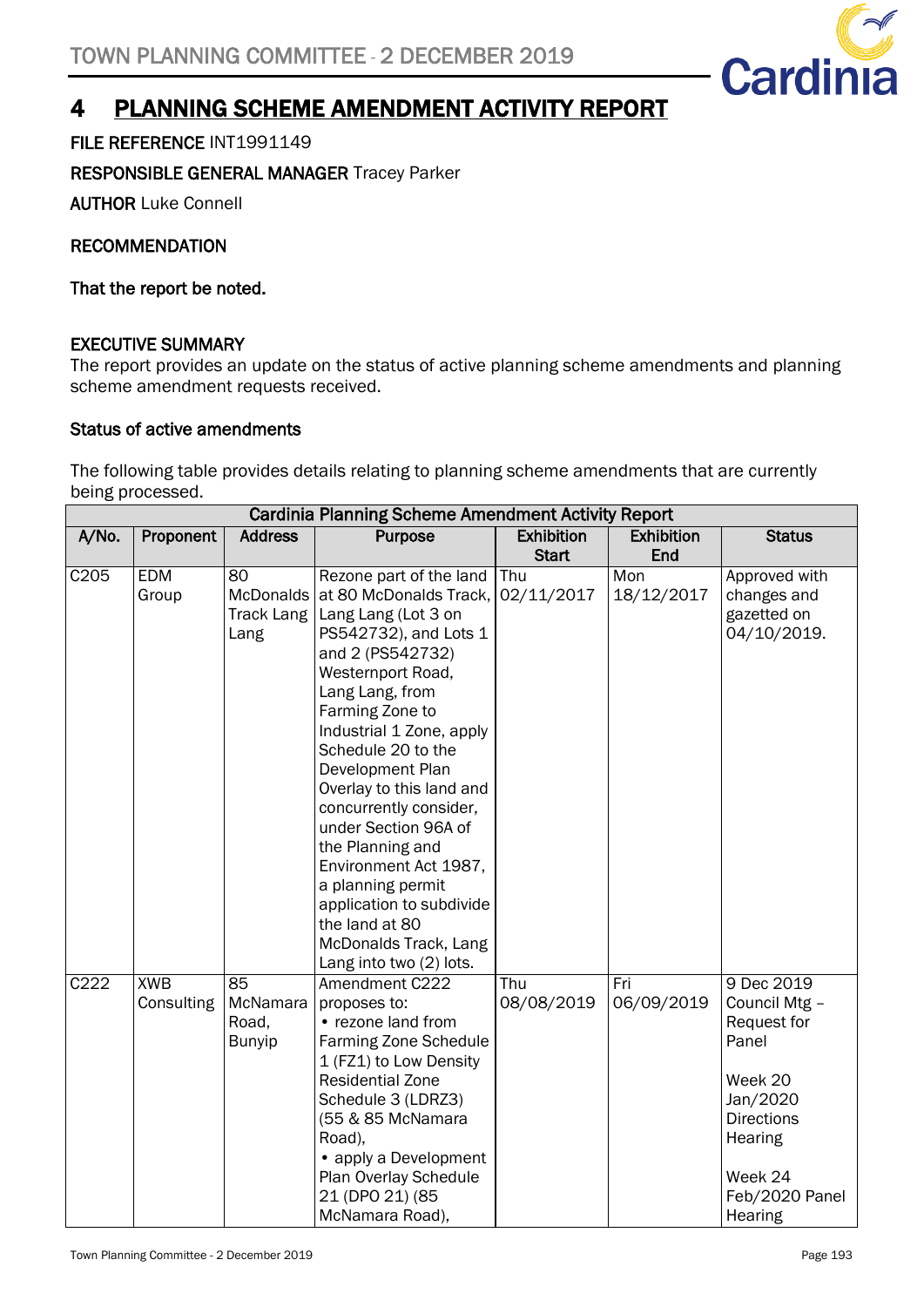

## 4 PLANNING SCHEME AMENDMENT ACTIVITY REPORT

FILE REFERENCE INT1991149

## RESPONSIBLE GENERAL MANAGER Tracey Parker

AUTHOR Luke Connell

RECOMMENDATION

That the report be noted.

## EXECUTIVE SUMMARY

The report provides an update on the status of active planning scheme amendments and planning scheme amendment requests received.

## Status of active amendments

The following table provides details relating to planning scheme amendments that are currently being processed.

|                  | <b>Cardinia Planning Scheme Amendment Activity Report</b> |                   |                              |                   |                   |                   |
|------------------|-----------------------------------------------------------|-------------------|------------------------------|-------------------|-------------------|-------------------|
| A/No.            | Proponent                                                 | <b>Address</b>    | <b>Purpose</b>               | <b>Exhibition</b> | <b>Exhibition</b> | <b>Status</b>     |
|                  |                                                           |                   |                              | <b>Start</b>      | End               |                   |
| C <sub>205</sub> | <b>EDM</b>                                                | 80                | Rezone part of the land      | Thu               | Mon               | Approved with     |
|                  | Group                                                     | McDonalds         | at 80 McDonalds Track,       | 02/11/2017        | 18/12/2017        | changes and       |
|                  |                                                           | <b>Track Lang</b> | Lang Lang (Lot 3 on          |                   |                   | gazetted on       |
|                  |                                                           | Lang              | PS542732), and Lots 1        |                   |                   | 04/10/2019.       |
|                  |                                                           |                   | and 2 (PS542732)             |                   |                   |                   |
|                  |                                                           |                   | Westernport Road,            |                   |                   |                   |
|                  |                                                           |                   | Lang Lang, from              |                   |                   |                   |
|                  |                                                           |                   | Farming Zone to              |                   |                   |                   |
|                  |                                                           |                   | Industrial 1 Zone, apply     |                   |                   |                   |
|                  |                                                           |                   | Schedule 20 to the           |                   |                   |                   |
|                  |                                                           |                   | Development Plan             |                   |                   |                   |
|                  |                                                           |                   | Overlay to this land and     |                   |                   |                   |
|                  |                                                           |                   | concurrently consider,       |                   |                   |                   |
|                  |                                                           |                   | under Section 96A of         |                   |                   |                   |
|                  |                                                           |                   | the Planning and             |                   |                   |                   |
|                  |                                                           |                   | Environment Act 1987,        |                   |                   |                   |
|                  |                                                           |                   | a planning permit            |                   |                   |                   |
|                  |                                                           |                   | application to subdivide     |                   |                   |                   |
|                  |                                                           |                   | the land at 80               |                   |                   |                   |
|                  |                                                           |                   | McDonalds Track, Lang        |                   |                   |                   |
|                  |                                                           |                   | Lang into two (2) lots.      |                   |                   |                   |
| C222             | <b>XWB</b>                                                | $\overline{85}$   | Amendment C222               | Thu               | Fri               | 9 Dec 2019        |
|                  | Consulting                                                | McNamara          | proposes to:                 | 08/08/2019        | 06/09/2019        | Council Mtg -     |
|                  |                                                           | Road,             | • rezone land from           |                   |                   | Request for       |
|                  |                                                           | <b>Bunyip</b>     | <b>Farming Zone Schedule</b> |                   |                   | Panel             |
|                  |                                                           |                   | 1 (FZ1) to Low Density       |                   |                   |                   |
|                  |                                                           |                   | <b>Residential Zone</b>      |                   |                   | Week 20           |
|                  |                                                           |                   | Schedule 3 (LDRZ3)           |                   |                   | Jan/2020          |
|                  |                                                           |                   | (55 & 85 McNamara            |                   |                   | <b>Directions</b> |
|                  |                                                           |                   | Road),                       |                   |                   | Hearing           |
|                  |                                                           |                   | • apply a Development        |                   |                   |                   |
|                  |                                                           |                   | Plan Overlay Schedule        |                   |                   | Week 24           |
|                  |                                                           |                   | 21 (DPO 21) (85              |                   |                   | Feb/2020 Panel    |
|                  |                                                           |                   | McNamara Road),              |                   |                   | Hearing           |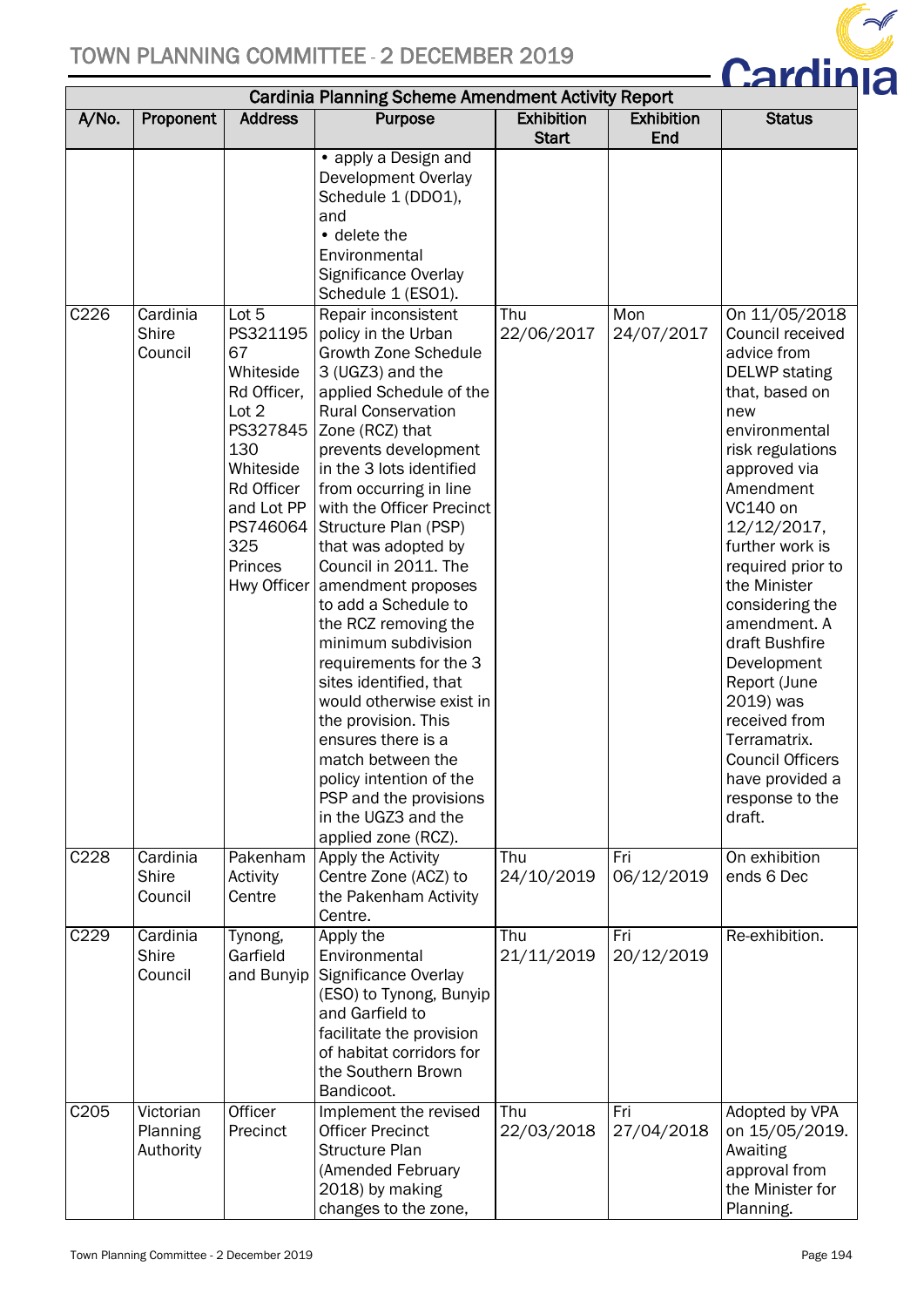

| <b>Cardinia Planning Scheme Amendment Activity Report</b> |                                     |                                                                                                                                                                       |                                                                                                                                                                                                                                                                                                                                                                                                                                                                                                                                                                                                                                                                                                              |                                   |                          |                                                                                                                                                                                                                                                                                                                                                                                                                                                                     |  |
|-----------------------------------------------------------|-------------------------------------|-----------------------------------------------------------------------------------------------------------------------------------------------------------------------|--------------------------------------------------------------------------------------------------------------------------------------------------------------------------------------------------------------------------------------------------------------------------------------------------------------------------------------------------------------------------------------------------------------------------------------------------------------------------------------------------------------------------------------------------------------------------------------------------------------------------------------------------------------------------------------------------------------|-----------------------------------|--------------------------|---------------------------------------------------------------------------------------------------------------------------------------------------------------------------------------------------------------------------------------------------------------------------------------------------------------------------------------------------------------------------------------------------------------------------------------------------------------------|--|
| A/No.                                                     | Proponent                           | <b>Address</b>                                                                                                                                                        | <b>Purpose</b>                                                                                                                                                                                                                                                                                                                                                                                                                                                                                                                                                                                                                                                                                               | <b>Exhibition</b><br><b>Start</b> | <b>Exhibition</b><br>End | <b>Status</b>                                                                                                                                                                                                                                                                                                                                                                                                                                                       |  |
|                                                           |                                     |                                                                                                                                                                       | • apply a Design and<br>Development Overlay<br>Schedule 1 (DD01),<br>and<br>• delete the<br>Environmental<br>Significance Overlay<br>Schedule 1 (ESO1).                                                                                                                                                                                                                                                                                                                                                                                                                                                                                                                                                      |                                   |                          |                                                                                                                                                                                                                                                                                                                                                                                                                                                                     |  |
| C226                                                      | Cardinia<br><b>Shire</b><br>Council | Lot 5<br>PS321195<br>67<br>Whiteside<br>Rd Officer,<br>Lot 2<br>PS327845<br>130<br>Whiteside<br>Rd Officer<br>and Lot PP<br>PS746064<br>325<br>Princes<br>Hwy Officer | Repair inconsistent<br>policy in the Urban<br><b>Growth Zone Schedule</b><br>3 (UGZ3) and the<br>applied Schedule of the<br><b>Rural Conservation</b><br>Zone (RCZ) that<br>prevents development<br>in the 3 lots identified<br>from occurring in line<br>with the Officer Precinct<br>Structure Plan (PSP)<br>that was adopted by<br>Council in 2011. The<br>amendment proposes<br>to add a Schedule to<br>the RCZ removing the<br>minimum subdivision<br>requirements for the 3<br>sites identified, that<br>would otherwise exist in<br>the provision. This<br>ensures there is a<br>match between the<br>policy intention of the<br>PSP and the provisions<br>in the UGZ3 and the<br>applied zone (RCZ). | Thu<br>22/06/2017                 | Mon<br>24/07/2017        | On 11/05/2018<br>Council received<br>advice from<br><b>DELWP</b> stating<br>that, based on<br>new<br>environmental<br>risk regulations<br>approved via<br>Amendment<br>VC140 on<br>12/12/2017,<br>further work is<br>required prior to<br>the Minister<br>considering the<br>amendment. A<br>draft Bushfire<br>Development<br>Report (June<br>2019) was<br>received from<br>Terramatrix.<br><b>Council Officers</b><br>have provided a<br>response to the<br>draft. |  |
| C228                                                      | Cardinia<br>Shire<br>Council        | Pakenham<br>Activity<br>Centre                                                                                                                                        | Apply the Activity<br>Centre Zone (ACZ) to<br>the Pakenham Activity<br>Centre.                                                                                                                                                                                                                                                                                                                                                                                                                                                                                                                                                                                                                               | Thu<br>24/10/2019                 | Fri<br>06/12/2019        | On exhibition<br>ends 6 Dec                                                                                                                                                                                                                                                                                                                                                                                                                                         |  |
| C <sub>229</sub>                                          | Cardinia<br>Shire<br>Council        | Tynong,<br>Garfield<br>and Bunyip                                                                                                                                     | Apply the<br>Environmental<br>Significance Overlay<br>(ESO) to Tynong, Bunyip<br>and Garfield to<br>facilitate the provision<br>of habitat corridors for<br>the Southern Brown<br>Bandicoot.                                                                                                                                                                                                                                                                                                                                                                                                                                                                                                                 | Thu<br>21/11/2019                 | Fri<br>20/12/2019        | Re-exhibition.                                                                                                                                                                                                                                                                                                                                                                                                                                                      |  |
| C <sub>205</sub>                                          | Victorian<br>Planning<br>Authority  | Officer<br>Precinct                                                                                                                                                   | Implement the revised<br><b>Officer Precinct</b><br><b>Structure Plan</b><br>(Amended February<br>2018) by making<br>changes to the zone,                                                                                                                                                                                                                                                                                                                                                                                                                                                                                                                                                                    | Thu<br>22/03/2018                 | Fri<br>27/04/2018        | Adopted by VPA<br>on 15/05/2019.<br>Awaiting<br>approval from<br>the Minister for<br>Planning.                                                                                                                                                                                                                                                                                                                                                                      |  |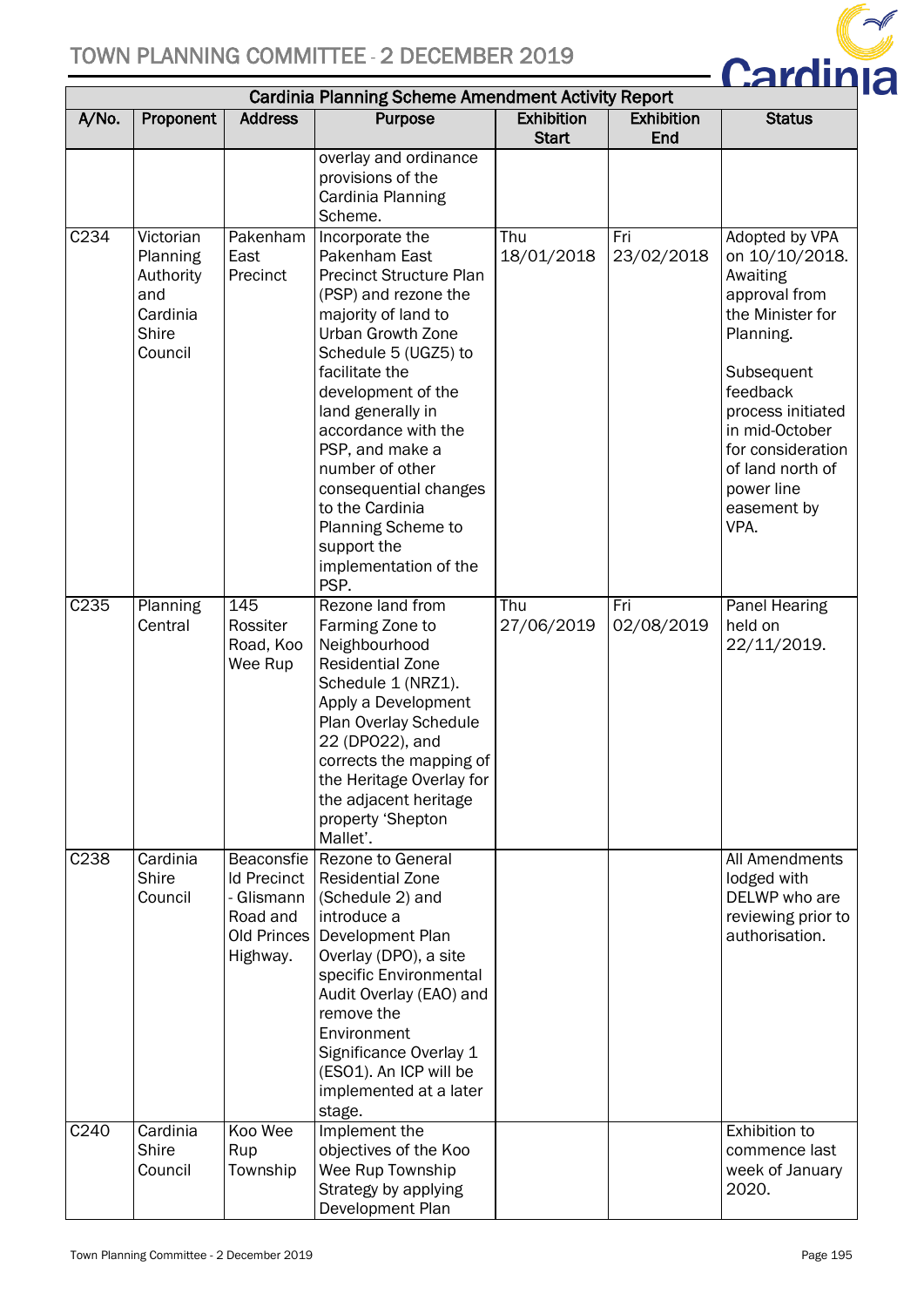

| <b>Cardinia Planning Scheme Amendment Activity Report</b> |                                                                                  |                                                                                       |                                                                                                                                                                                                                                                                                                                                                                                                            |                                   |                          |                                                                                                                                                                                                                                               |  |
|-----------------------------------------------------------|----------------------------------------------------------------------------------|---------------------------------------------------------------------------------------|------------------------------------------------------------------------------------------------------------------------------------------------------------------------------------------------------------------------------------------------------------------------------------------------------------------------------------------------------------------------------------------------------------|-----------------------------------|--------------------------|-----------------------------------------------------------------------------------------------------------------------------------------------------------------------------------------------------------------------------------------------|--|
| A/No.                                                     | Proponent                                                                        | <b>Address</b>                                                                        | Purpose                                                                                                                                                                                                                                                                                                                                                                                                    | <b>Exhibition</b><br><b>Start</b> | <b>Exhibition</b><br>End | <b>Status</b>                                                                                                                                                                                                                                 |  |
|                                                           |                                                                                  |                                                                                       | overlay and ordinance<br>provisions of the<br>Cardinia Planning<br>Scheme.                                                                                                                                                                                                                                                                                                                                 |                                   |                          |                                                                                                                                                                                                                                               |  |
| C234                                                      | Victorian<br>Planning<br>Authority<br>and<br>Cardinia<br><b>Shire</b><br>Council | Pakenham<br>East<br>Precinct                                                          | Incorporate the<br>Pakenham East<br><b>Precinct Structure Plan</b><br>(PSP) and rezone the<br>majority of land to<br>Urban Growth Zone<br>Schedule 5 (UGZ5) to<br>facilitate the<br>development of the<br>land generally in<br>accordance with the<br>PSP, and make a<br>number of other<br>consequential changes<br>to the Cardinia<br>Planning Scheme to<br>support the<br>implementation of the<br>PSP. | Thu<br>18/01/2018                 | Fri<br>23/02/2018        | Adopted by VPA<br>on 10/10/2018.<br>Awaiting<br>approval from<br>the Minister for<br>Planning.<br>Subsequent<br>feedback<br>process initiated<br>in mid-October<br>for consideration<br>of land north of<br>power line<br>easement by<br>VPA. |  |
| C235                                                      | Planning<br>Central                                                              | 145<br>Rossiter<br>Road, Koo<br>Wee Rup                                               | Rezone land from<br>Farming Zone to<br>Neighbourhood<br><b>Residential Zone</b><br>Schedule 1 (NRZ1).<br>Apply a Development<br>Plan Overlay Schedule<br>22 (DP022), and<br>corrects the mapping of<br>the Heritage Overlay for<br>the adjacent heritage<br>property 'Shepton<br>Mallet'.                                                                                                                  | Thu<br>27/06/2019                 | Fri<br>02/08/2019        | <b>Panel Hearing</b><br>held on<br>22/11/2019.                                                                                                                                                                                                |  |
| C238                                                      | Cardinia<br><b>Shire</b><br>Council                                              | Beaconsfie<br><b>Id Precinct</b><br>- Glismann<br>Road and<br>Old Princes<br>Highway. | <b>Rezone to General</b><br><b>Residential Zone</b><br>(Schedule 2) and<br>introduce a<br>Development Plan<br>Overlay (DPO), a site<br>specific Environmental<br>Audit Overlay (EAO) and<br>remove the<br>Environment<br>Significance Overlay 1<br>(ESO1). An ICP will be<br>implemented at a later<br>stage.                                                                                              |                                   |                          | All Amendments<br>lodged with<br>DELWP who are<br>reviewing prior to<br>authorisation.                                                                                                                                                        |  |
| C240                                                      | Cardinia<br><b>Shire</b><br>Council                                              | Koo Wee<br>Rup<br>Township                                                            | Implement the<br>objectives of the Koo<br>Wee Rup Township<br>Strategy by applying<br>Development Plan                                                                                                                                                                                                                                                                                                     |                                   |                          | <b>Exhibition to</b><br>commence last<br>week of January<br>2020.                                                                                                                                                                             |  |